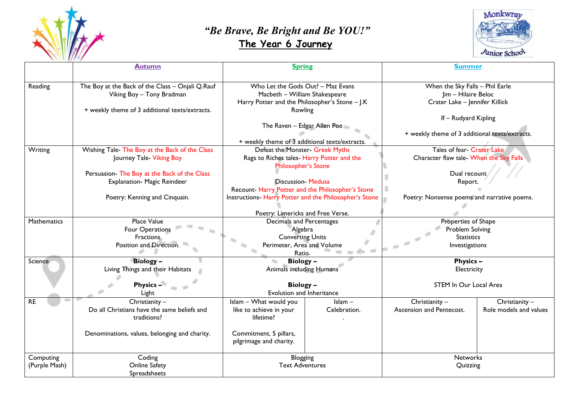

## *"Be Brave, Be Bright and Be YOU!"*   **The Year 6 Journey**



|                    | <b>Autumn</b>                                    | <b>Spring</b>                                          |              | <b>Summer</b>                                  |                        |
|--------------------|--------------------------------------------------|--------------------------------------------------------|--------------|------------------------------------------------|------------------------|
|                    |                                                  |                                                        |              |                                                |                        |
| Reading            | The Boy at the Back of the Class - Onjali Q.Rauf | Who Let the Gods Out? - Maz Evans                      |              | When the Sky Falls - Phil Earle                |                        |
|                    | Viking Boy - Tony Bradman                        | Macbeth - William Shakespeare                          |              | Jim - Hilaire Beloc                            |                        |
|                    |                                                  | Harry Potter and the Philosopher's Stone - J.K         |              | Crater Lake - Jennifer Killick                 |                        |
|                    | + weekly theme of 3 additional texts/extracts.   | Rowling                                                |              |                                                |                        |
|                    |                                                  |                                                        |              | If - Rudyard Kipling                           |                        |
|                    |                                                  | The Raven - Edgar Allen Poe                            |              |                                                |                        |
|                    |                                                  |                                                        |              | + weekly theme of 3 additional texts/extracts. |                        |
|                    |                                                  | + weekly theme of 3 additional texts/extracts.         |              |                                                |                        |
| Writing            | Wishing Tale- The Boy at the Back of the Class   | Defeat the Monster- Greek Myths                        |              | Tales of fear- Crater Lake                     |                        |
|                    | Journey Tale- Viking Boy                         | Rags to Riches tales- Harry Potter and the             |              | Character flaw tale- When the Sky Falls        |                        |
|                    |                                                  | <b>Philosopher's Stone</b>                             |              |                                                |                        |
|                    | Persuasion- The Boy at the Back of the Class     |                                                        |              | Dual recount                                   |                        |
|                    | Explanation- Magic Reindeer                      | <b>Discussion- Medusa</b>                              |              | Report.                                        |                        |
|                    |                                                  | Recount-Harry Potter and the Philosopher's Stone       |              |                                                |                        |
|                    | Poetry: Kenning and Cinquain.                    | Instructions- Harry Potter and the Philosopher's Stone |              | Poetry: Nonsense poems and narrative poems.    |                        |
|                    |                                                  |                                                        |              |                                                |                        |
|                    |                                                  | Poetry: Limericks and Free Verse.                      |              |                                                |                        |
| <b>Mathematics</b> | Place Value                                      | Decimals and Percentages                               |              | Properties of Shape                            |                        |
|                    | Four Operations                                  | Algebra                                                |              | Problem Solving                                |                        |
|                    | <b>Fractions</b>                                 | <b>Converting Units</b>                                |              | <b>Statistics</b>                              |                        |
|                    | Position and Direction.                          | Perimeter, Area and Volume                             |              | Investigations                                 |                        |
|                    |                                                  | ha m<br>Ratio.                                         |              |                                                |                        |
| Science            | Biology -                                        | Biology-                                               |              | <b>Physics -</b>                               |                        |
|                    | Living Things and their Habitats                 | Animals including Humans                               |              | Electricity                                    |                        |
|                    |                                                  |                                                        |              |                                                |                        |
|                    | <b>Physics -</b>                                 | Biology-                                               |              | STEM In Our Local Area                         |                        |
|                    | Light                                            | Evolution and Inheritance                              |              |                                                |                        |
| <b>RE</b>          | Christianity -                                   | Islam - What would you                                 | $lslam -$    | Christianity -                                 | Christianity $-$       |
|                    | Do all Christians have the same beliefs and      | like to achieve in your                                | Celebration. | Ascension and Pentecost.                       | Role models and values |
|                    | traditions?                                      | lifetime?                                              |              |                                                |                        |
|                    |                                                  |                                                        |              |                                                |                        |
|                    | Denominations, values, belonging and charity.    | Commitment, 5 pillars,                                 |              |                                                |                        |
|                    |                                                  | pilgrimage and charity.                                |              |                                                |                        |
|                    |                                                  |                                                        |              |                                                |                        |
| Computing          | Coding                                           | Blogging                                               |              | <b>Networks</b>                                |                        |
| (Purple Mash)      | <b>Online Safety</b>                             | <b>Text Adventures</b>                                 |              | Quizzing                                       |                        |
|                    | Spreadsheets                                     |                                                        |              |                                                |                        |